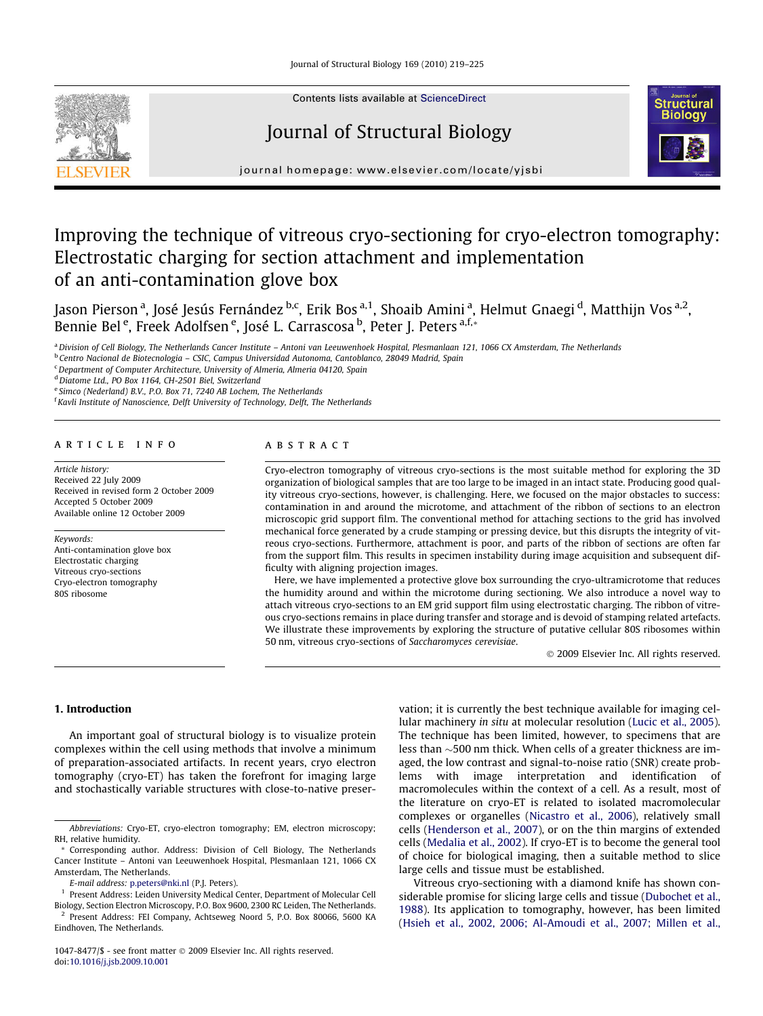

Contents lists available at [ScienceDirect](http://www.sciencedirect.com/science/journal/10478477)

# Journal of Structural Biology



journal homepage: [www.elsevier.com/locate/yjsbi](http://www.elsevier.com/locate/yjsbi)

# Improving the technique of vitreous cryo-sectioning for cryo-electron tomography: Electrostatic charging for section attachment and implementation of an anti-contamination glove box

Jason Pierson <sup>a</sup>, José Jesús Fernández <sup>b,c</sup>, Erik Bos <sup>a,1</sup>, Shoaib Amini <sup>a</sup>, Helmut Gnaegi <sup>d</sup>, Matthijn Vos <sup>a,2</sup>, Bennie Bel <sup>e</sup>, Freek Adolfsen <sup>e</sup>, José L. Carrascosa <sup>b</sup>, Peter J. Peters <sup>a,f,</sup>\*

a Division of Cell Biology, The Netherlands Cancer Institute - Antoni van Leeuwenhoek Hospital, Plesmanlaan 121, 1066 CX Amsterdam, The Netherlands

<sup>b</sup> Centro Nacional de Biotecnologia – CSIC, Campus Universidad Autonoma, Cantoblanco, 28049 Madrid, Spain

<sup>c</sup> Department of Computer Architecture, University of Almeria, Almeria 04120, Spain

<sup>d</sup> Diatome Ltd., PO Box 1164, CH-2501 Biel, Switzerland

<sup>e</sup> Simco (Nederland) B.V., P.O. Box 71, 7240 AB Lochem, The Netherlands

<sup>f</sup> Kavli Institute of Nanoscience, Delft University of Technology, Delft, The Netherlands

## article info

Article history: Received 22 July 2009 Received in revised form 2 October 2009 Accepted 5 October 2009 Available online 12 October 2009

#### Keywords:

Anti-contamination glove box Electrostatic charging Vitreous cryo-sections Cryo-electron tomography 80S ribosome

# **ABSTRACT**

Cryo-electron tomography of vitreous cryo-sections is the most suitable method for exploring the 3D organization of biological samples that are too large to be imaged in an intact state. Producing good quality vitreous cryo-sections, however, is challenging. Here, we focused on the major obstacles to success: contamination in and around the microtome, and attachment of the ribbon of sections to an electron microscopic grid support film. The conventional method for attaching sections to the grid has involved mechanical force generated by a crude stamping or pressing device, but this disrupts the integrity of vitreous cryo-sections. Furthermore, attachment is poor, and parts of the ribbon of sections are often far from the support film. This results in specimen instability during image acquisition and subsequent difficulty with aligning projection images.

Here, we have implemented a protective glove box surrounding the cryo-ultramicrotome that reduces the humidity around and within the microtome during sectioning. We also introduce a novel way to attach vitreous cryo-sections to an EM grid support film using electrostatic charging. The ribbon of vitreous cryo-sections remains in place during transfer and storage and is devoid of stamping related artefacts. We illustrate these improvements by exploring the structure of putative cellular 80S ribosomes within 50 nm, vitreous cryo-sections of Saccharomyces cerevisiae.

- 2009 Elsevier Inc. All rights reserved.

## 1. Introduction

An important goal of structural biology is to visualize protein complexes within the cell using methods that involve a minimum of preparation-associated artifacts. In recent years, cryo electron tomography (cryo-ET) has taken the forefront for imaging large and stochastically variable structures with close-to-native preservation; it is currently the best technique available for imaging cellular machinery in situ at molecular resolution ([Lucic et al., 2005\)](#page-6-0). The technique has been limited, however, to specimens that are less than  $\sim$ 500 nm thick. When cells of a greater thickness are imaged, the low contrast and signal-to-noise ratio (SNR) create problems with image interpretation and identification of macromolecules within the context of a cell. As a result, most of the literature on cryo-ET is related to isolated macromolecular complexes or organelles [\(Nicastro et al., 2006\)](#page-6-0), relatively small cells [\(Henderson et al., 2007](#page-6-0)), or on the thin margins of extended cells ([Medalia et al., 2002](#page-6-0)). If cryo-ET is to become the general tool of choice for biological imaging, then a suitable method to slice large cells and tissue must be established.

Vitreous cryo-sectioning with a diamond knife has shown considerable promise for slicing large cells and tissue ([Dubochet et al.,](#page-5-0) [1988\)](#page-5-0). Its application to tomography, however, has been limited ([Hsieh et al., 2002, 2006; Al-Amoudi et al., 2007; Millen et al.,](#page-6-0)

Abbreviations: Cryo-ET, cryo-electron tomography; EM, electron microscopy; RH, relative humidity.

Corresponding author. Address: Division of Cell Biology, The Netherlands Cancer Institute – Antoni van Leeuwenhoek Hospital, Plesmanlaan 121, 1066 CX Amsterdam, The Netherlands.

E-mail address: [p.peters@nki.nl](mailto:p.peters@nki.nl) (P.J. Peters).

<sup>1</sup> Present Address: Leiden University Medical Center, Department of Molecular Cell Biology, Section Electron Microscopy, P.O. Box 9600, 2300 RC Leiden, The Netherlands.

<sup>2</sup> Present Address: FEI Company, Achtseweg Noord 5, P.O. Box 80066, 5600 KA Eindhoven, The Netherlands.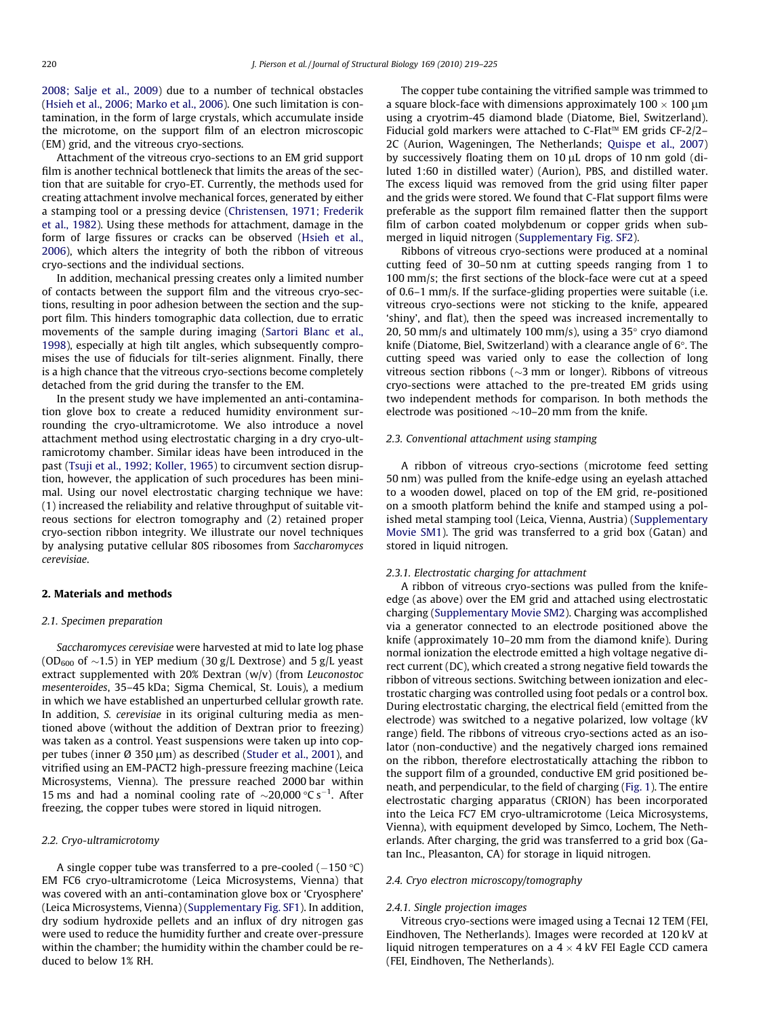[2008; Salje et al., 2009](#page-6-0)) due to a number of technical obstacles ([Hsieh et al., 2006; Marko et al., 2006](#page-6-0)). One such limitation is contamination, in the form of large crystals, which accumulate inside the microtome, on the support film of an electron microscopic (EM) grid, and the vitreous cryo-sections.

Attachment of the vitreous cryo-sections to an EM grid support film is another technical bottleneck that limits the areas of the section that are suitable for cryo-ET. Currently, the methods used for creating attachment involve mechanical forces, generated by either a stamping tool or a pressing device [\(Christensen, 1971; Frederik](#page-5-0) [et al., 1982\)](#page-5-0). Using these methods for attachment, damage in the form of large fissures or cracks can be observed ([Hsieh et al.,](#page-6-0) [2006\)](#page-6-0), which alters the integrity of both the ribbon of vitreous cryo-sections and the individual sections.

In addition, mechanical pressing creates only a limited number of contacts between the support film and the vitreous cryo-sections, resulting in poor adhesion between the section and the support film. This hinders tomographic data collection, due to erratic movements of the sample during imaging [\(Sartori Blanc et al.,](#page-6-0) [1998\)](#page-6-0), especially at high tilt angles, which subsequently compromises the use of fiducials for tilt-series alignment. Finally, there is a high chance that the vitreous cryo-sections become completely detached from the grid during the transfer to the EM.

In the present study we have implemented an anti-contamination glove box to create a reduced humidity environment surrounding the cryo-ultramicrotome. We also introduce a novel attachment method using electrostatic charging in a dry cryo-ultramicrotomy chamber. Similar ideas have been introduced in the past ([Tsuji et al., 1992; Koller, 1965\)](#page-6-0) to circumvent section disruption, however, the application of such procedures has been minimal. Using our novel electrostatic charging technique we have: (1) increased the reliability and relative throughput of suitable vitreous sections for electron tomography and (2) retained proper cryo-section ribbon integrity. We illustrate our novel techniques by analysing putative cellular 80S ribosomes from Saccharomyces cerevisiae.

#### 2. Materials and methods

#### 2.1. Specimen preparation

Saccharomyces cerevisiae were harvested at mid to late log phase (OD<sub>600</sub> of  ${\sim}1.5)$  in YEP medium (30 g/L Dextrose) and 5 g/L yeast extract supplemented with 20% Dextran (w/v) (from Leuconostoc mesenteroides, 35–45 kDa; Sigma Chemical, St. Louis), a medium in which we have established an unperturbed cellular growth rate. In addition, S. cerevisiae in its original culturing media as mentioned above (without the addition of Dextran prior to freezing) was taken as a control. Yeast suspensions were taken up into copper tubes (inner  $\varnothing$  350  $\mu$ m) as described ([Studer et al., 2001](#page-6-0)), and vitrified using an EM-PACT2 high-pressure freezing machine (Leica Microsystems, Vienna). The pressure reached 2000 bar within 15 ms and had a nominal cooling rate of  $\sim$ 20,000 °C s<sup>-1</sup>. After freezing, the copper tubes were stored in liquid nitrogen.

## 2.2. Cryo-ultramicrotomy

A single copper tube was transferred to a pre-cooled  $(-150 \degree C)$ EM FC6 cryo-ultramicrotome (Leica Microsystems, Vienna) that was covered with an anti-contamination glove box or 'Cryosphere' (Leica Microsystems, Vienna) (Supplementary Fig. SF1). In addition, dry sodium hydroxide pellets and an influx of dry nitrogen gas were used to reduce the humidity further and create over-pressure within the chamber; the humidity within the chamber could be reduced to below 1% RH.

The copper tube containing the vitrified sample was trimmed to a square block-face with dimensions approximately  $100 \times 100 \mu m$ using a cryotrim-45 diamond blade (Diatome, Biel, Switzerland). Fiducial gold markers were attached to C-Flat<sup> $M$ </sup> EM grids CF-2/2-2C (Aurion, Wageningen, The Netherlands; [Quispe et al., 2007\)](#page-6-0) by successively floating them on 10 µL drops of 10 nm gold (diluted 1:60 in distilled water) (Aurion), PBS, and distilled water. The excess liquid was removed from the grid using filter paper and the grids were stored. We found that C-Flat support films were preferable as the support film remained flatter then the support film of carbon coated molybdenum or copper grids when submerged in liquid nitrogen (Supplementary Fig. SF2).

Ribbons of vitreous cryo-sections were produced at a nominal cutting feed of 30–50 nm at cutting speeds ranging from 1 to 100 mm/s; the first sections of the block-face were cut at a speed of 0.6–1 mm/s. If the surface-gliding properties were suitable (i.e. vitreous cryo-sections were not sticking to the knife, appeared 'shiny', and flat), then the speed was increased incrementally to 20, 50 mm/s and ultimately 100 mm/s), using a  $35^{\circ}$  cryo diamond knife (Diatome, Biel, Switzerland) with a clearance angle of  $6^\circ$ . The cutting speed was varied only to ease the collection of long vitreous section ribbons ( $\sim$ 3 mm or longer). Ribbons of vitreous cryo-sections were attached to the pre-treated EM grids using two independent methods for comparison. In both methods the electrode was positioned  $\sim$ 10–20 mm from the knife.

#### 2.3. Conventional attachment using stamping

A ribbon of vitreous cryo-sections (microtome feed setting 50 nm) was pulled from the knife-edge using an eyelash attached to a wooden dowel, placed on top of the EM grid, re-positioned on a smooth platform behind the knife and stamped using a polished metal stamping tool (Leica, Vienna, Austria) (Supplementary Movie SM1). The grid was transferred to a grid box (Gatan) and stored in liquid nitrogen.

#### 2.3.1. Electrostatic charging for attachment

A ribbon of vitreous cryo-sections was pulled from the knifeedge (as above) over the EM grid and attached using electrostatic charging (Supplementary Movie SM2). Charging was accomplished via a generator connected to an electrode positioned above the knife (approximately 10–20 mm from the diamond knife). During normal ionization the electrode emitted a high voltage negative direct current (DC), which created a strong negative field towards the ribbon of vitreous sections. Switching between ionization and electrostatic charging was controlled using foot pedals or a control box. During electrostatic charging, the electrical field (emitted from the electrode) was switched to a negative polarized, low voltage (kV range) field. The ribbons of vitreous cryo-sections acted as an isolator (non-conductive) and the negatively charged ions remained on the ribbon, therefore electrostatically attaching the ribbon to the support film of a grounded, conductive EM grid positioned beneath, and perpendicular, to the field of charging [\(Fig. 1\)](#page-2-0). The entire electrostatic charging apparatus (CRION) has been incorporated into the Leica FC7 EM cryo-ultramicrotome (Leica Microsystems, Vienna), with equipment developed by Simco, Lochem, The Netherlands. After charging, the grid was transferred to a grid box (Gatan Inc., Pleasanton, CA) for storage in liquid nitrogen.

### 2.4. Cryo electron microscopy/tomography

#### 2.4.1. Single projection images

Vitreous cryo-sections were imaged using a Tecnai 12 TEM (FEI, Eindhoven, The Netherlands). Images were recorded at 120 kV at liquid nitrogen temperatures on a  $4 \times 4$  kV FEI Eagle CCD camera (FEI, Eindhoven, The Netherlands).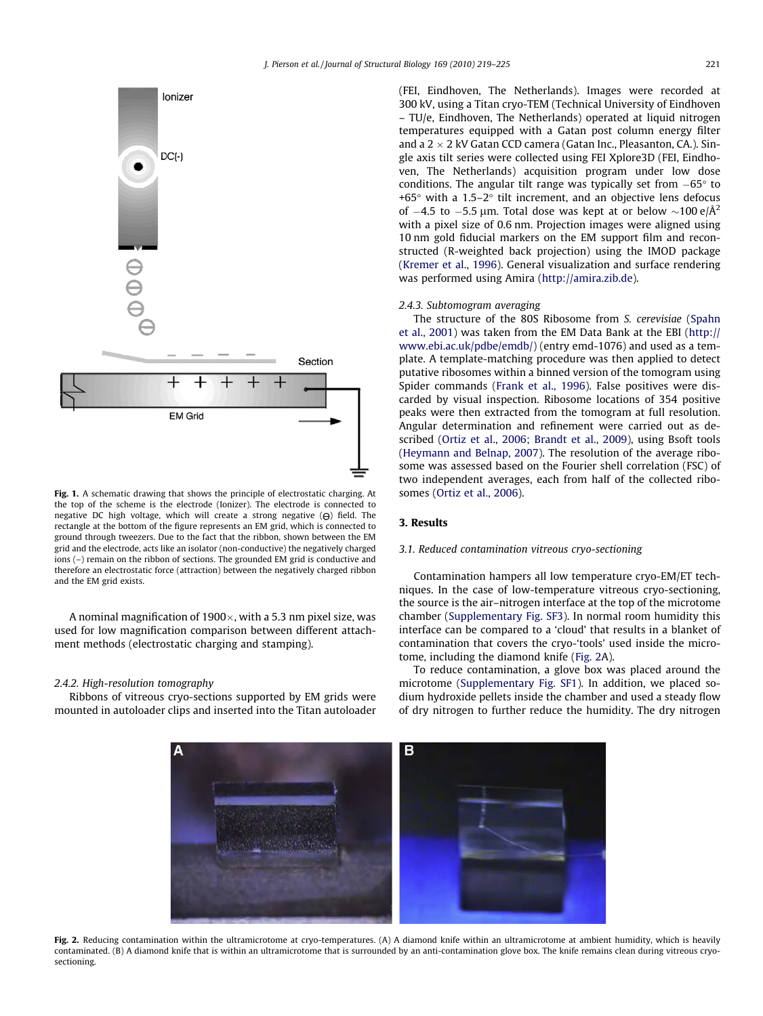<span id="page-2-0"></span>

Fig. 1. A schematic drawing that shows the principle of electrostatic charging. At the top of the scheme is the electrode (Ionizer). The electrode is connected to negative DC high voltage, which will create a strong negative  $(\Theta)$  field. The rectangle at the bottom of the figure represents an EM grid, which is connected to ground through tweezers. Due to the fact that the ribbon, shown between the EM grid and the electrode, acts like an isolator (non-conductive) the negatively charged ions (–) remain on the ribbon of sections. The grounded EM grid is conductive and therefore an electrostatic force (attraction) between the negatively charged ribbon and the EM grid exists.

A nominal magnification of  $1900 \times$ , with a 5.3 nm pixel size, was used for low magnification comparison between different attachment methods (electrostatic charging and stamping).

## 2.4.2. High-resolution tomography

Ribbons of vitreous cryo-sections supported by EM grids were mounted in autoloader clips and inserted into the Titan autoloader (FEI, Eindhoven, The Netherlands). Images were recorded at 300 kV, using a Titan cryo-TEM (Technical University of Eindhoven – TU/e, Eindhoven, The Netherlands) operated at liquid nitrogen temperatures equipped with a Gatan post column energy filter and a  $2 \times 2$  kV Gatan CCD camera (Gatan Inc., Pleasanton, CA.). Single axis tilt series were collected using FEI Xplore3D (FEI, Eindhoven, The Netherlands) acquisition program under low dose conditions. The angular tilt range was typically set from  $-65^\circ$  to +65 $\degree$  with a 1.5–2 $\degree$  tilt increment, and an objective lens defocus of  $-4.5$  to  $-5.5$  µm. Total dose was kept at or below  $\sim$ 100 e/Å<sup>2</sup> with a pixel size of 0.6 nm. Projection images were aligned using 10 nm gold fiducial markers on the EM support film and reconstructed (R-weighted back projection) using the IMOD package ([Kremer et al., 1996](#page-6-0)). General visualization and surface rendering was performed using Amira [\(http://amira.zib.de\)](http://amira.zib.de).

#### 2.4.3. Subtomogram averaging

The structure of the 80S Ribosome from S. cerevisiae [\(Spahn](#page-6-0) [et al., 2001](#page-6-0)) was taken from the EM Data Bank at the EBI ([http://](http://www.ebi.ac.uk/pdbe/emdb/) [www.ebi.ac.uk/pdbe/emdb/](http://www.ebi.ac.uk/pdbe/emdb/)) (entry emd-1076) and used as a template. A template-matching procedure was then applied to detect putative ribosomes within a binned version of the tomogram using Spider commands ([Frank et al., 1996](#page-6-0)). False positives were discarded by visual inspection. Ribosome locations of 354 positive peaks were then extracted from the tomogram at full resolution. Angular determination and refinement were carried out as described [\(Ortiz et al., 2006; Brandt et al., 2009\)](#page-6-0), using Bsoft tools ([Heymann and Belnap, 2007\)](#page-6-0). The resolution of the average ribosome was assessed based on the Fourier shell correlation (FSC) of two independent averages, each from half of the collected ribosomes ([Ortiz et al., 2006\)](#page-6-0).

# 3. Results

## 3.1. Reduced contamination vitreous cryo-sectioning

Contamination hampers all low temperature cryo-EM/ET techniques. In the case of low-temperature vitreous cryo-sectioning, the source is the air–nitrogen interface at the top of the microtome chamber (Supplementary Fig. SF3). In normal room humidity this interface can be compared to a 'cloud' that results in a blanket of contamination that covers the cryo-'tools' used inside the microtome, including the diamond knife (Fig. 2A).

To reduce contamination, a glove box was placed around the microtome (Supplementary Fig. SF1). In addition, we placed sodium hydroxide pellets inside the chamber and used a steady flow of dry nitrogen to further reduce the humidity. The dry nitrogen



Fig. 2. Reducing contamination within the ultramicrotome at cryo-temperatures. (A) A diamond knife within an ultramicrotome at ambient humidity, which is heavily contaminated. (B) A diamond knife that is within an ultramicrotome that is surrounded by an anti-contamination glove box. The knife remains clean during vitreous cryosectioning.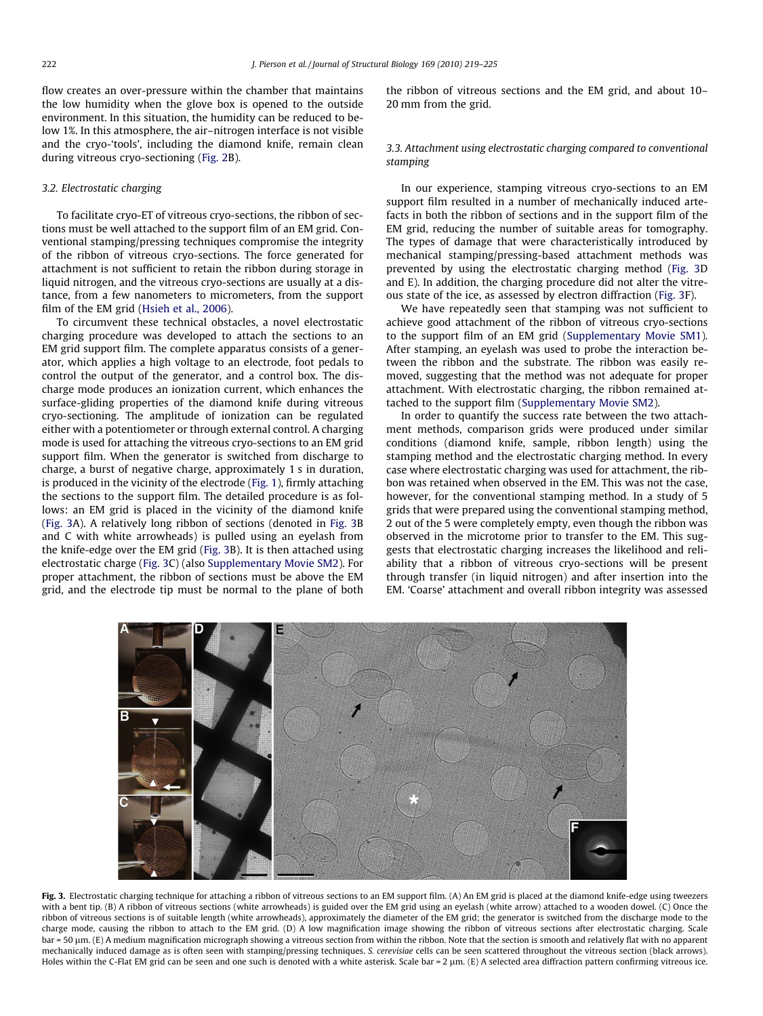flow creates an over-pressure within the chamber that maintains the low humidity when the glove box is opened to the outside environment. In this situation, the humidity can be reduced to below 1%. In this atmosphere, the air–nitrogen interface is not visible and the cryo-'tools', including the diamond knife, remain clean during vitreous cryo-sectioning ([Fig. 2](#page-2-0)B).

## 3.2. Electrostatic charging

To facilitate cryo-ET of vitreous cryo-sections, the ribbon of sections must be well attached to the support film of an EM grid. Conventional stamping/pressing techniques compromise the integrity of the ribbon of vitreous cryo-sections. The force generated for attachment is not sufficient to retain the ribbon during storage in liquid nitrogen, and the vitreous cryo-sections are usually at a distance, from a few nanometers to micrometers, from the support film of the EM grid [\(Hsieh et al., 2006](#page-6-0)).

To circumvent these technical obstacles, a novel electrostatic charging procedure was developed to attach the sections to an EM grid support film. The complete apparatus consists of a generator, which applies a high voltage to an electrode, foot pedals to control the output of the generator, and a control box. The discharge mode produces an ionization current, which enhances the surface-gliding properties of the diamond knife during vitreous cryo-sectioning. The amplitude of ionization can be regulated either with a potentiometer or through external control. A charging mode is used for attaching the vitreous cryo-sections to an EM grid support film. When the generator is switched from discharge to charge, a burst of negative charge, approximately 1 s in duration, is produced in the vicinity of the electrode ([Fig. 1](#page-2-0)), firmly attaching the sections to the support film. The detailed procedure is as follows: an EM grid is placed in the vicinity of the diamond knife (Fig. 3A). A relatively long ribbon of sections (denoted in Fig. 3B and C with white arrowheads) is pulled using an eyelash from the knife-edge over the EM grid (Fig. 3B). It is then attached using electrostatic charge (Fig. 3C) (also Supplementary Movie SM2). For proper attachment, the ribbon of sections must be above the EM grid, and the electrode tip must be normal to the plane of both the ribbon of vitreous sections and the EM grid, and about 10– 20 mm from the grid.

3.3. Attachment using electrostatic charging compared to conventional stamping

In our experience, stamping vitreous cryo-sections to an EM support film resulted in a number of mechanically induced artefacts in both the ribbon of sections and in the support film of the EM grid, reducing the number of suitable areas for tomography. The types of damage that were characteristically introduced by mechanical stamping/pressing-based attachment methods was prevented by using the electrostatic charging method (Fig. 3D and E). In addition, the charging procedure did not alter the vitreous state of the ice, as assessed by electron diffraction (Fig. 3F).

We have repeatedly seen that stamping was not sufficient to achieve good attachment of the ribbon of vitreous cryo-sections to the support film of an EM grid (Supplementary Movie SM1). After stamping, an eyelash was used to probe the interaction between the ribbon and the substrate. The ribbon was easily removed, suggesting that the method was not adequate for proper attachment. With electrostatic charging, the ribbon remained attached to the support film (Supplementary Movie SM2).

In order to quantify the success rate between the two attachment methods, comparison grids were produced under similar conditions (diamond knife, sample, ribbon length) using the stamping method and the electrostatic charging method. In every case where electrostatic charging was used for attachment, the ribbon was retained when observed in the EM. This was not the case, however, for the conventional stamping method. In a study of 5 grids that were prepared using the conventional stamping method, 2 out of the 5 were completely empty, even though the ribbon was observed in the microtome prior to transfer to the EM. This suggests that electrostatic charging increases the likelihood and reliability that a ribbon of vitreous cryo-sections will be present through transfer (in liquid nitrogen) and after insertion into the EM. 'Coarse' attachment and overall ribbon integrity was assessed



Fig. 3. Electrostatic charging technique for attaching a ribbon of vitreous sections to an EM support film. (A) An EM grid is placed at the diamond knife-edge using tweezers with a bent tip. (B) A ribbon of vitreous sections (white arrowheads) is guided over the EM grid using an eyelash (white arrow) attached to a wooden dowel. (C) Once the ribbon of vitreous sections is of suitable length (white arrowheads), approximately the diameter of the EM grid; the generator is switched from the discharge mode to the charge mode, causing the ribbon to attach to the EM grid. (D) A low magnification image showing the ribbon of vitreous sections after electrostatic charging. Scale bar = 50 µm. (E) A medium magnification micrograph showing a vitreous section from within the ribbon. Note that the section is smooth and relatively flat with no apparent mechanically induced damage as is often seen with stamping/pressing techniques. S. cerevisiae cells can be seen scattered throughout the vitreous section (black arrows). Holes within the C-Flat EM grid can be seen and one such is denoted with a white asterisk. Scale bar = 2  $\mu$ m. (E) A selected area diffraction pattern confirming vitreous ice.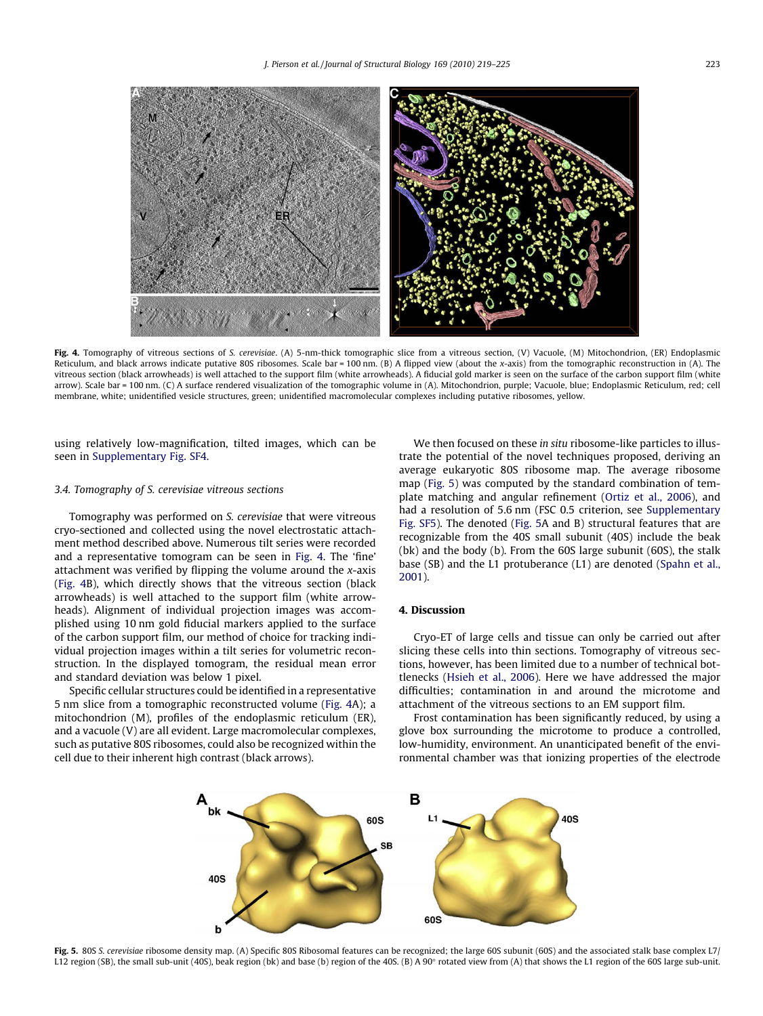

Fig. 4. Tomography of vitreous sections of S. cerevisiae. (A) 5-nm-thick tomographic slice from a vitreous section, (V) Vacuole, (M) Mitochondrion, (ER) Endoplasmic Reticulum, and black arrows indicate putative 80S ribosomes. Scale bar = 100 nm. (B) A flipped view (about the x-axis) from the tomographic reconstruction in (A). The vitreous section (black arrowheads) is well attached to the support film (white arrowheads). A fiducial gold marker is seen on the surface of the carbon support film (white arrow). Scale bar = 100 nm. (C) A surface rendered visualization of the tomographic volume in (A). Mitochondrion, purple; Vacuole, blue; Endoplasmic Reticulum, red; cell membrane, white; unidentified vesicle structures, green; unidentified macromolecular complexes including putative ribosomes, yellow.

using relatively low-magnification, tilted images, which can be seen in Supplementary Fig. SF4.

## 3.4. Tomography of S. cerevisiae vitreous sections

Tomography was performed on S. cerevisiae that were vitreous cryo-sectioned and collected using the novel electrostatic attachment method described above. Numerous tilt series were recorded and a representative tomogram can be seen in Fig. 4. The 'fine' attachment was verified by flipping the volume around the x-axis (Fig. 4B), which directly shows that the vitreous section (black arrowheads) is well attached to the support film (white arrowheads). Alignment of individual projection images was accomplished using 10 nm gold fiducial markers applied to the surface of the carbon support film, our method of choice for tracking individual projection images within a tilt series for volumetric reconstruction. In the displayed tomogram, the residual mean error and standard deviation was below 1 pixel.

Specific cellular structures could be identified in a representative 5 nm slice from a tomographic reconstructed volume (Fig. 4A); a mitochondrion (M), profiles of the endoplasmic reticulum (ER), and a vacuole (V) are all evident. Large macromolecular complexes, such as putative 80S ribosomes, could also be recognized within the cell due to their inherent high contrast (black arrows).

We then focused on these in situ ribosome-like particles to illustrate the potential of the novel techniques proposed, deriving an average eukaryotic 80S ribosome map. The average ribosome map (Fig. 5) was computed by the standard combination of template matching and angular refinement ([Ortiz et al., 2006\)](#page-6-0), and had a resolution of 5.6 nm (FSC 0.5 criterion, see Supplementary Fig. SF5). The denoted (Fig. 5A and B) structural features that are recognizable from the 40S small subunit (40S) include the beak (bk) and the body (b). From the 60S large subunit (60S), the stalk base (SB) and the L1 protuberance (L1) are denoted ([Spahn et al.,](#page-6-0) [2001](#page-6-0)).

# 4. Discussion

Cryo-ET of large cells and tissue can only be carried out after slicing these cells into thin sections. Tomography of vitreous sections, however, has been limited due to a number of technical bottlenecks [\(Hsieh et al., 2006\)](#page-6-0). Here we have addressed the major difficulties; contamination in and around the microtome and attachment of the vitreous sections to an EM support film.

Frost contamination has been significantly reduced, by using a glove box surrounding the microtome to produce a controlled, low-humidity, environment. An unanticipated benefit of the environmental chamber was that ionizing properties of the electrode



Fig. 5. 80S S. cerevisiae ribosome density map. (A) Specific 80S Ribosomal features can be recognized; the large 60S subunit (60S) and the associated stalk base complex L7/ L12 region (SB), the small sub-unit (40S), beak region (bk) and base (b) region of the 40S. (B) A 90° rotated view from (A) that shows the L1 region of the 60S large sub-unit.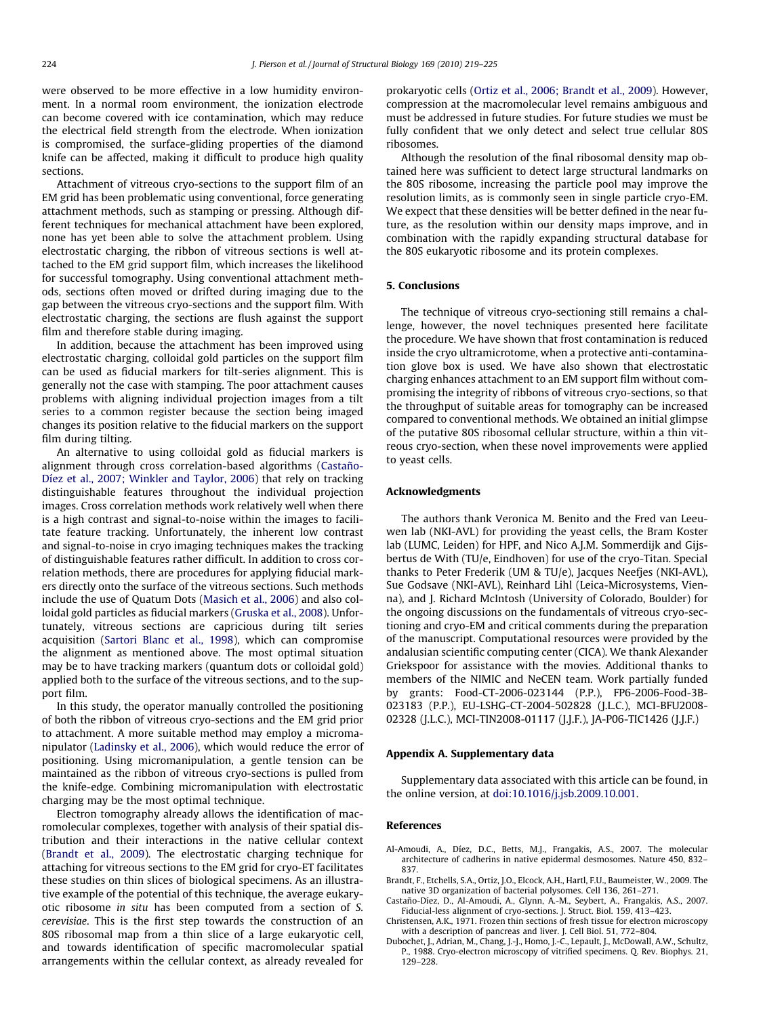<span id="page-5-0"></span>were observed to be more effective in a low humidity environment. In a normal room environment, the ionization electrode can become covered with ice contamination, which may reduce the electrical field strength from the electrode. When ionization is compromised, the surface-gliding properties of the diamond knife can be affected, making it difficult to produce high quality sections.

Attachment of vitreous cryo-sections to the support film of an EM grid has been problematic using conventional, force generating attachment methods, such as stamping or pressing. Although different techniques for mechanical attachment have been explored, none has yet been able to solve the attachment problem. Using electrostatic charging, the ribbon of vitreous sections is well attached to the EM grid support film, which increases the likelihood for successful tomography. Using conventional attachment methods, sections often moved or drifted during imaging due to the gap between the vitreous cryo-sections and the support film. With electrostatic charging, the sections are flush against the support film and therefore stable during imaging.

In addition, because the attachment has been improved using electrostatic charging, colloidal gold particles on the support film can be used as fiducial markers for tilt-series alignment. This is generally not the case with stamping. The poor attachment causes problems with aligning individual projection images from a tilt series to a common register because the section being imaged changes its position relative to the fiducial markers on the support film during tilting.

An alternative to using colloidal gold as fiducial markers is alignment through cross correlation-based algorithms (Castaño-Díez et al., 2007; Winkler and Taylor, 2006) that rely on tracking distinguishable features throughout the individual projection images. Cross correlation methods work relatively well when there is a high contrast and signal-to-noise within the images to facilitate feature tracking. Unfortunately, the inherent low contrast and signal-to-noise in cryo imaging techniques makes the tracking of distinguishable features rather difficult. In addition to cross correlation methods, there are procedures for applying fiducial markers directly onto the surface of the vitreous sections. Such methods include the use of Quatum Dots ([Masich et al., 2006](#page-6-0)) and also colloidal gold particles as fiducial markers [\(Gruska et al., 2008](#page-6-0)). Unfortunately, vitreous sections are capricious during tilt series acquisition ([Sartori Blanc et al., 1998](#page-6-0)), which can compromise the alignment as mentioned above. The most optimal situation may be to have tracking markers (quantum dots or colloidal gold) applied both to the surface of the vitreous sections, and to the support film.

In this study, the operator manually controlled the positioning of both the ribbon of vitreous cryo-sections and the EM grid prior to attachment. A more suitable method may employ a micromanipulator [\(Ladinsky et al., 2006\)](#page-6-0), which would reduce the error of positioning. Using micromanipulation, a gentle tension can be maintained as the ribbon of vitreous cryo-sections is pulled from the knife-edge. Combining micromanipulation with electrostatic charging may be the most optimal technique.

Electron tomography already allows the identification of macromolecular complexes, together with analysis of their spatial distribution and their interactions in the native cellular context (Brandt et al., 2009). The electrostatic charging technique for attaching for vitreous sections to the EM grid for cryo-ET facilitates these studies on thin slices of biological specimens. As an illustrative example of the potential of this technique, the average eukaryotic ribosome in situ has been computed from a section of S. cerevisiae. This is the first step towards the construction of an 80S ribosomal map from a thin slice of a large eukaryotic cell, and towards identification of specific macromolecular spatial arrangements within the cellular context, as already revealed for prokaryotic cells [\(Ortiz et al., 2006; Brandt et al., 2009](#page-6-0)). However, compression at the macromolecular level remains ambiguous and must be addressed in future studies. For future studies we must be fully confident that we only detect and select true cellular 80S ribosomes.

Although the resolution of the final ribosomal density map obtained here was sufficient to detect large structural landmarks on the 80S ribosome, increasing the particle pool may improve the resolution limits, as is commonly seen in single particle cryo-EM. We expect that these densities will be better defined in the near future, as the resolution within our density maps improve, and in combination with the rapidly expanding structural database for the 80S eukaryotic ribosome and its protein complexes.

# 5. Conclusions

The technique of vitreous cryo-sectioning still remains a challenge, however, the novel techniques presented here facilitate the procedure. We have shown that frost contamination is reduced inside the cryo ultramicrotome, when a protective anti-contamination glove box is used. We have also shown that electrostatic charging enhances attachment to an EM support film without compromising the integrity of ribbons of vitreous cryo-sections, so that the throughput of suitable areas for tomography can be increased compared to conventional methods. We obtained an initial glimpse of the putative 80S ribosomal cellular structure, within a thin vitreous cryo-section, when these novel improvements were applied to yeast cells.

## Acknowledgments

The authors thank Veronica M. Benito and the Fred van Leeuwen lab (NKI-AVL) for providing the yeast cells, the Bram Koster lab (LUMC, Leiden) for HPF, and Nico A.J.M. Sommerdijk and Gijsbertus de With (TU/e, Eindhoven) for use of the cryo-Titan. Special thanks to Peter Frederik (UM & TU/e), Jacques Neefjes (NKI-AVL), Sue Godsave (NKI-AVL), Reinhard Lihl (Leica-Microsystems, Vienna), and J. Richard McIntosh (University of Colorado, Boulder) for the ongoing discussions on the fundamentals of vitreous cryo-sectioning and cryo-EM and critical comments during the preparation of the manuscript. Computational resources were provided by the andalusian scientific computing center (CICA). We thank Alexander Griekspoor for assistance with the movies. Additional thanks to members of the NIMIC and NeCEN team. Work partially funded by grants: Food-CT-2006-023144 (P.P.), FP6-2006-Food-3B-023183 (P.P.), EU-LSHG-CT-2004-502828 (J.L.C.), MCI-BFU2008- 02328 (J.L.C.), MCI-TIN2008-01117 (J.J.F.), JA-P06-TIC1426 (J.J.F.)

#### Appendix A. Supplementary data

Supplementary data associated with this article can be found, in the online version, at [doi:10.1016/j.jsb.2009.10.001.](http://dx.doi.org/10.1016/j.jsb.2009.10.001)

## References

- Al-Amoudi, A., Díez, D.C., Betts, M.J., Frangakis, A.S., 2007. The molecular architecture of cadherins in native epidermal desmosomes. Nature 450, 832– 837.
- Brandt, F., Etchells, S.A., Ortiz, J.O., Elcock, A.H., Hartl, F.U., Baumeister, W., 2009. The native 3D organization of bacterial polysomes. Cell 136, 261–271.
- Castaño-Díez, D., Al-Amoudi, A., Glynn, A.-M., Seybert, A., Frangakis, A.S., 2007. Fiducial-less alignment of cryo-sections. J. Struct. Biol. 159, 413–423.
- Christensen, A.K., 1971. Frozen thin sections of fresh tissue for electron microscopy with a description of pancreas and liver. J. Cell Biol. 51, 772–804.
- Dubochet, J., Adrian, M., Chang, J.-J., Homo, J.-C., Lepault, J., McDowall, A.W., Schultz, P., 1988. Cryo-electron microscopy of vitrified specimens. Q. Rev. Biophys. 21, 129–228.